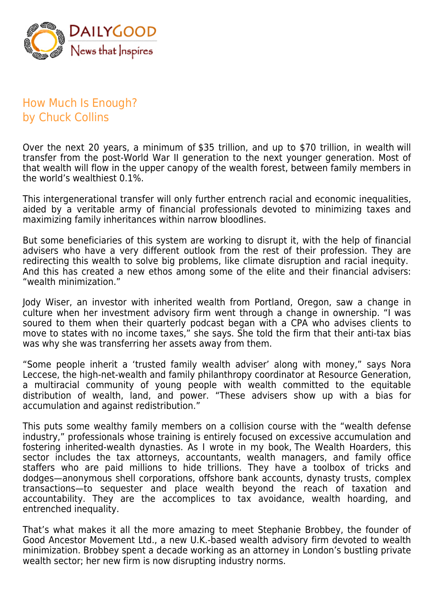

## How Much Is Enough? by Chuck Collins

Over the next 20 years, a minimum of \$35 trillion, and up to \$70 trillion, in wealth will transfer from the post-World War II generation to the next younger generation. Most of that wealth will flow in the upper canopy of the wealth forest, between family members in the world's wealthiest 0.1%.

This intergenerational transfer will only further entrench racial and economic inequalities, aided by a veritable army of financial professionals devoted to minimizing taxes and maximizing family inheritances within narrow bloodlines.

But some beneficiaries of this system are working to disrupt it, with the help of financial advisers who have a very different outlook from the rest of their profession. They are redirecting this wealth to solve big problems, like climate disruption and racial inequity. And this has created a new ethos among some of the elite and their financial advisers: "wealth minimization."

Jody Wiser, an investor with inherited wealth from Portland, Oregon, saw a change in culture when her investment advisory firm went through a change in ownership. "I was soured to them when their quarterly podcast began with a CPA who advises clients to move to states with no income taxes," she says. She told the firm that their anti-tax bias was why she was transferring her assets away from them.

"Some people inherit a 'trusted family wealth adviser' along with money," says Nora Leccese, the high-net-wealth and family philanthropy coordinator at Resource Generation, a multiracial community of young people with wealth committed to the equitable distribution of wealth, land, and power. "These advisers show up with a bias for accumulation and against redistribution."

This puts some wealthy family members on a collision course with the "wealth defense industry," professionals whose training is entirely focused on excessive accumulation and fostering inherited-wealth dynasties. As I wrote in my book, The Wealth Hoarders, this sector includes the tax attorneys, accountants, wealth managers, and family office staffers who are paid millions to hide trillions. They have a toolbox of tricks and dodges—anonymous shell corporations, offshore bank accounts, dynasty trusts, complex transactions—to sequester and place wealth beyond the reach of taxation and accountability. They are the accomplices to tax avoidance, wealth hoarding, and entrenched inequality.

That's what makes it all the more amazing to meet Stephanie Brobbey, the founder of Good Ancestor Movement Ltd., a new U.K.-based wealth advisory firm devoted to wealth minimization. Brobbey spent a decade working as an attorney in London's bustling private wealth sector; her new firm is now disrupting industry norms.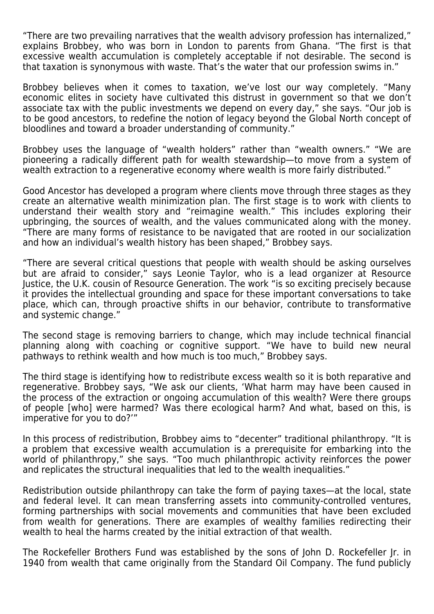"There are two prevailing narratives that the wealth advisory profession has internalized," explains Brobbey, who was born in London to parents from Ghana. "The first is that excessive wealth accumulation is completely acceptable if not desirable. The second is that taxation is synonymous with waste. That's the water that our profession swims in."

Brobbey believes when it comes to taxation, we've lost our way completely. "Many economic elites in society have cultivated this distrust in government so that we don't associate tax with the public investments we depend on every day," she says. "Our job is to be good ancestors, to redefine the notion of legacy beyond the Global North concept of bloodlines and toward a broader understanding of community."

Brobbey uses the language of "wealth holders" rather than "wealth owners." "We are pioneering a radically different path for wealth stewardship—to move from a system of wealth extraction to a regenerative economy where wealth is more fairly distributed."

Good Ancestor has developed a program where clients move through three stages as they create an alternative wealth minimization plan. The first stage is to work with clients to understand their wealth story and "reimagine wealth." This includes exploring their upbringing, the sources of wealth, and the values communicated along with the money. "There are many forms of resistance to be navigated that are rooted in our socialization and how an individual's wealth history has been shaped," Brobbey says.

"There are several critical questions that people with wealth should be asking ourselves but are afraid to consider," says Leonie Taylor, who is a lead organizer at Resource Justice, the U.K. cousin of Resource Generation. The work "is so exciting precisely because it provides the intellectual grounding and space for these important conversations to take place, which can, through proactive shifts in our behavior, contribute to transformative and systemic change."

The second stage is removing barriers to change, which may include technical financial planning along with coaching or cognitive support. "We have to build new neural pathways to rethink wealth and how much is too much," Brobbey says.

The third stage is identifying how to redistribute excess wealth so it is both reparative and regenerative. Brobbey says, "We ask our clients, 'What harm may have been caused in the process of the extraction or ongoing accumulation of this wealth? Were there groups of people [who] were harmed? Was there ecological harm? And what, based on this, is imperative for you to do?'"

In this process of redistribution, Brobbey aims to "decenter" traditional philanthropy. "It is a problem that excessive wealth accumulation is a prerequisite for embarking into the world of philanthropy," she says. "Too much philanthropic activity reinforces the power and replicates the structural inequalities that led to the wealth inequalities."

Redistribution outside philanthropy can take the form of paying taxes—at the local, state and federal level. It can mean transferring assets into community-controlled ventures, forming partnerships with social movements and communities that have been excluded from wealth for generations. There are examples of wealthy families redirecting their wealth to heal the harms created by the initial extraction of that wealth.

The Rockefeller Brothers Fund was established by the sons of John D. Rockefeller Jr. in 1940 from wealth that came originally from the Standard Oil Company. The fund publicly